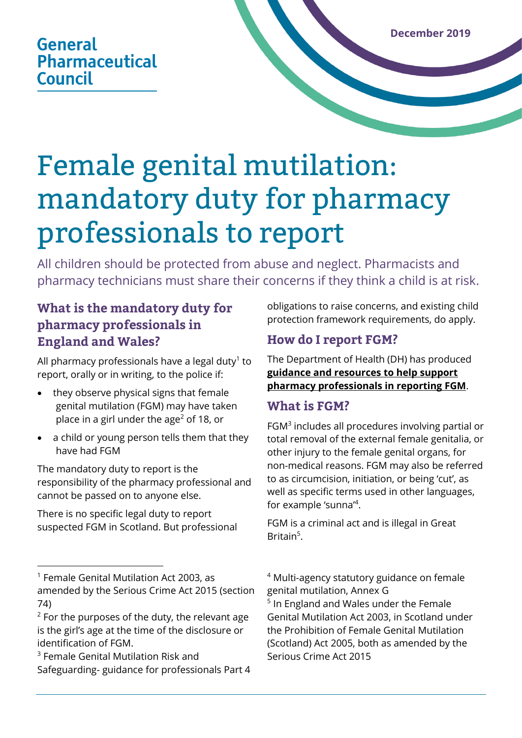## **General Pharmaceutical Council**

# Female genital mutilation: mandatory duty for pharmacy professionals to report

All children should be protected from abuse and neglect. Pharmacists and pharmacy technicians must share their concerns if they think a child is at risk.

## **What is the mandatory duty for pharmacy professionals in England and Wales?**

All pharmacy professionals have a legal duty $^{\rm 1}$  to report, orally or in writing, to the police if:

- they observe physical signs that female genital mutilation (FGM) may have taken place in a girl under the age<sup>2</sup> of 18, or
- a child or young person tells them that they have had FGM

The mandatory duty to report is the responsibility of the pharmacy professional and cannot be passed on to anyone else.

There is no specific legal duty to report suspected FGM in Scotland. But professional

<sup>3</sup> Female Genital Mutilation Risk and Safeguarding- guidance for professionals Part 4 obligations to raise concerns, and existing child protection framework requirements, do apply.

## **How do I report FGM?**

The Department of Health (DH) has produced **[guidance and resources to help support](http://www.gov.uk/government/publications/fgm-mandatory-reporting-in-healthcare)  [pharmacy professionals in reporting](http://www.gov.uk/government/publications/fgm-mandatory-reporting-in-healthcare) FGM**.

### **What is FGM?**

FGM<sup>3</sup> includes all procedures involving partial or total removal of the external female genitalia, or other injury to the female genital organs, for non-medical reasons. FGM may also be referred to as circumcision, initiation, or being 'cut', as well as specific terms used in other languages, for example 'sunna<sup>"4</sup>.

FGM is a criminal act and is illegal in Great Britain<sup>5</sup>.

<sup>4</sup> Multi-agency statutory guidance on female genital mutilation, Annex G <sup>5</sup> In England and Wales under the Female Genital Mutilation Act 2003, in Scotland under the Prohibition of Female Genital Mutilation (Scotland) Act 2005, both as amended by the Serious Crime Act 2015

<sup>1</sup> Female Genital Mutilation Act 2003, as amended by the Serious Crime Act 2015 (section 74)

 $2$  For the purposes of the duty, the relevant age is the girl's age at the time of the disclosure or identification of FGM.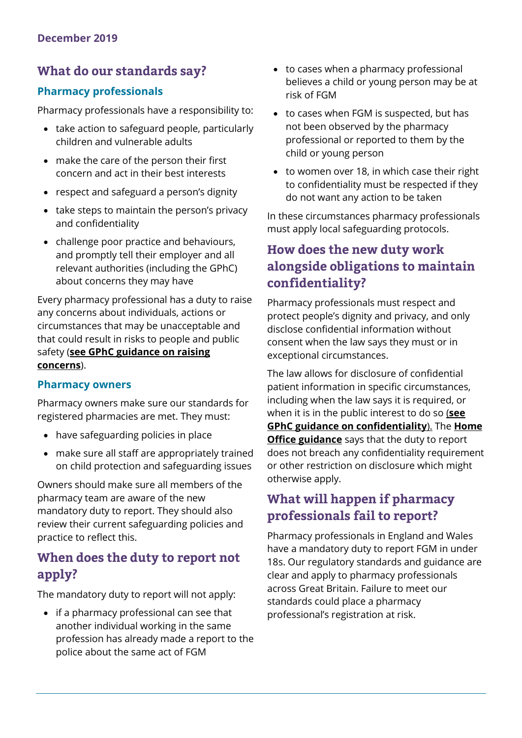## **What do our standards say?**

#### **Pharmacy professionals**

Pharmacy professionals have a responsibility to:

- take action to safeguard people, particularly children and vulnerable adults
- make the care of the person their first concern and act in their best interests
- respect and safeguard a person's dignity
- take steps to maintain the person's privacy and confidentiality
- challenge poor practice and behaviours, and promptly tell their employer and all relevant authorities (including the GPhC) about concerns they may have

Every pharmacy professional has a duty to raise any concerns about individuals, actions or circumstances that may be unacceptable and that could result in risks to people and public safety (**[see GPhC guidance on raising](https://www.pharmacyregulation.org/sites/default/files/in_practice-_guidance_on_raising_concerns_may_2017.pdf)  [concerns](https://www.pharmacyregulation.org/sites/default/files/in_practice-_guidance_on_raising_concerns_may_2017.pdf)**).

#### **Pharmacy owners**

Pharmacy owners make sure our standards for registered pharmacies are met. They must:

- have safeguarding policies in place
- make sure all staff are appropriately trained on child protection and safeguarding issues

Owners should make sure all members of the pharmacy team are aware of the new mandatory duty to report. They should also review their current safeguarding policies and practice to reflect this.

## **When does the duty to report not apply?**

The mandatory duty to report will not apply:

• if a pharmacy professional can see that another individual working in the same profession has already made a report to the police about the same act of FGM

- to cases when a pharmacy professional believes a child or young person may be at risk of FGM
- to cases when FGM is suspected, but has not been observed by the pharmacy professional or reported to them by the child or young person
- to women over 18, in which case their right to confidentiality must be respected if they do not want any action to be taken

In these circumstances pharmacy professionals must apply local safeguarding protocols.

## **How does the new duty work alongside obligations to maintain confidentiality?**

Pharmacy professionals must respect and protect people's dignity and privacy, and only disclose confidential information without consent when the law says they must or in exceptional circumstances.

The law allows for disclosure of confidential patient information in specific circumstances, including when the law says it is required, or when it is in the public interest to do so (**[see](https://www.pharmacyregulation.org/sites/default/files/document/in_practice_guidance_on_confidentiality_june_2018.pdf)  [GPhC guidance on confidentiality](https://www.pharmacyregulation.org/sites/default/files/document/in_practice_guidance_on_confidentiality_june_2018.pdf)**). The **[Home](https://assets.publishing.service.gov.uk/government/uploads/system/uploads/attachment_data/file/573782/FGM_Mandatory_Reporting_-_procedural_information_nov16_FINAL.pdf)  [Office guidance](https://assets.publishing.service.gov.uk/government/uploads/system/uploads/attachment_data/file/573782/FGM_Mandatory_Reporting_-_procedural_information_nov16_FINAL.pdf)** says that the duty to report does not breach any confidentiality requirement or other restriction on disclosure which might otherwise apply.

## **What will happen if pharmacy professionals fail to report?**

Pharmacy professionals in England and Wales have a mandatory duty to report FGM in under 18s. Our regulatory standards and guidance are clear and apply to pharmacy professionals across Great Britain. Failure to meet our standards could place a pharmacy professional's registration at risk.